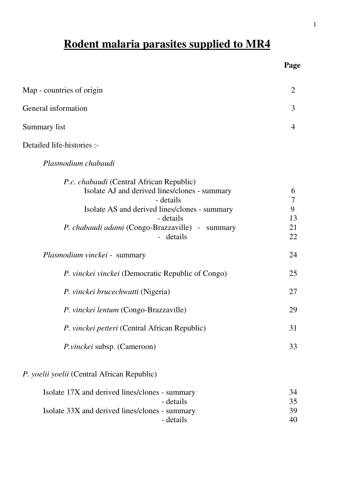# Rodent malaria parasites supp

| Rodent malaria parasites supplied to MR4 |                |  |
|------------------------------------------|----------------|--|
|                                          | Page           |  |
| Map - countries of origin                | $\overline{2}$ |  |
| General information                      | 3              |  |
| Summary list                             | 4              |  |
| Detailed life-histories :-               |                |  |
|                                          |                |  |

| Plasmodium chabaudi |  |
|---------------------|--|
|                     |  |

| <i>P.c. chabaudi</i> (Central African Republic)<br>Isolate AJ and derived lines/clones - summary<br>- details<br>Isolate AS and derived lines/clones - summary<br>- details<br>P. chabaudi adami (Congo-Brazzaville) - summary<br>- details | 6<br>7<br>9<br>13<br>21<br>22 |
|---------------------------------------------------------------------------------------------------------------------------------------------------------------------------------------------------------------------------------------------|-------------------------------|
| <i>Plasmodium vinckei - summary</i>                                                                                                                                                                                                         | 24                            |
| P. vinckei vinckei (Democratic Republic of Congo)                                                                                                                                                                                           | 25                            |
| P. vinckei brucechwatti (Nigeria)                                                                                                                                                                                                           | 27                            |
| P. vinckei lentum (Congo-Brazzaville)                                                                                                                                                                                                       | 29                            |
| P. vinckei petteri (Central African Republic)                                                                                                                                                                                               | 31                            |
| <i>P.vinckei</i> subsp. (Cameroon)                                                                                                                                                                                                          | 33                            |
| <i>P. yoelii yoelii</i> (Central African Republic)                                                                                                                                                                                          |                               |
| Isolate 17X and derived lines/clones - summary<br>- details                                                                                                                                                                                 | 34<br>35                      |
| Isolate 33X and derived lines/clones - summary                                                                                                                                                                                              | 39                            |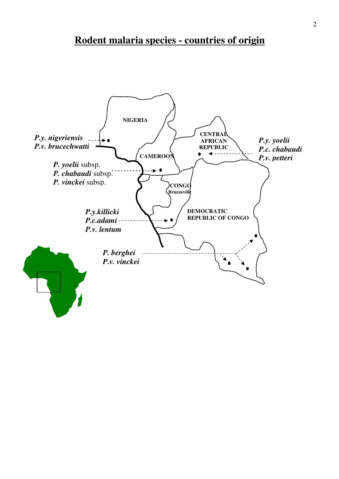# Rodent malaria species - countries of origin

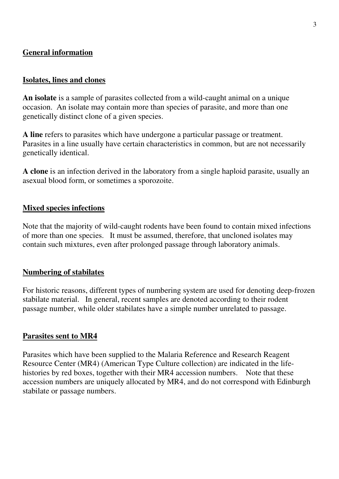### General information

#### Isolates, lines and clones

An isolate is a sample of parasites collected from a wild-caught animal on a unique occasion. An isolate may contain more than species of parasite, and more than one genetically distinct clone of a given species.

A line refers to parasites which have undergone a particular passage or treatment. Parasites in a line usually have certain characteristics in common, but are not necessarily genetically identical.

A clone is an infection derived in the laboratory from a single haploid parasite, usually an asexual blood form, or sometimes a sporozoite.

#### Mixed species infections

Note that the majority of wild-caught rodents have been found to contain mixed infections of more than one species. It must be assumed, therefore, that uncloned isolates may contain such mixtures, even after prolonged passage through laboratory animals.

#### Numbering of stabilates

For historic reasons, different types of numbering system are used for denoting deep-frozen stabilate material. In general, recent samples are denoted according to their rodent passage number, while older stabilates have a simple number unrelated to passage.

#### Parasites sent to MR4

Parasites which have been supplied to the Malaria Reference and Research Reagent Resource Center (MR4) (American Type Culture collection) are indicated in the lifehistories by red boxes, together with their MR4 accession numbers. Note that these accession numbers are uniquely allocated by MR4, and do not correspond with Edinburgh stabilate or passage numbers.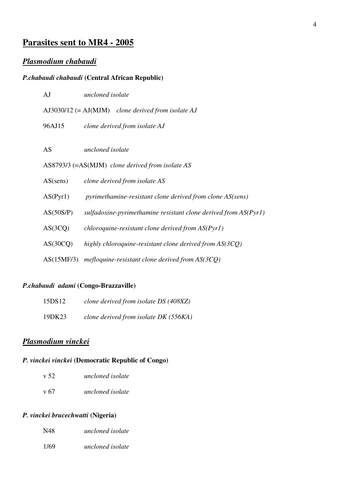## Parasites sent to MR4 - 2005

### Plasmodium chabaudi

#### P.chabaudi chabaudi (Central African Republic)

| AJ         | uncloned isolate                                                  |
|------------|-------------------------------------------------------------------|
|            | $A$ J3030/12 (= $AI(MJM)$ clone derived from isolate AJ           |
| 96AJ15     | clone derived from isolate AJ                                     |
|            |                                                                   |
| AS         | uncloned isolate                                                  |
|            | AS8793/3 (=AS(MJM) clone derived from isolate AS                  |
| AS(sens)   | clone derived from isolate AS                                     |
| AS(Pyr1)   | pyrimethamine-resistant clone derived from clone AS(sens)         |
| AS(50S/P)  | sulfadoxine-pyrimethamine resistant clone derived from $AS(Pyr1)$ |
| AS(3CQ)    | chloroquine-resistant clone derived from $AS(Pvr1)$               |
| AS(30CQ)   | highly chloroquine-resistant clone derived from $AS(3CQ)$         |
| AS(15MF/3) | mefloquine-resistant clone derived from $AS(3CQ)$                 |

#### P.chabaudi adami (Congo-Brazzaville)

| 15DS12 | clone derived from isolate DS (408XZ) |
|--------|---------------------------------------|
| 19DK23 | clone derived from isolate DK (556KA) |

### Plasmodium vinckei

### P. vinckei vinckei (Democratic Republic of Congo)

| v 52<br>uncloned isolate |
|--------------------------|
|--------------------------|

v 67 uncloned isolate

#### P. vinckei brucechwatti (Nigeria)

| N48 | uncloned isolate |
|-----|------------------|
|     |                  |

1/69 uncloned isolate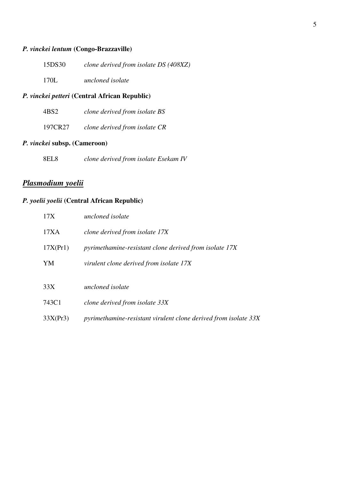#### P. vinckei lentum (Congo-Brazzaville)

| 15DS30 | clone derived from isolate DS (408XZ) |  |
|--------|---------------------------------------|--|
|--------|---------------------------------------|--|

170L uncloned isolate

#### P. vinckei petteri (Central African Republic)

| clone derived from isolate BS<br>4BS <sub>2</sub> |
|---------------------------------------------------|
|---------------------------------------------------|

197CR27 clone derived from isolate CR

#### P. vinckei subsp. (Cameroon)

8EL8 clone derived from isolate Esekam IV

### Plasmodium yoelii

#### P. yoelii yoelii (Central African Republic)

| 17X      | uncloned isolate                                                |
|----------|-----------------------------------------------------------------|
| 17XA     | clone derived from isolate 17X                                  |
| 17X(Pr1) | pyrimethamine-resistant clone derived from isolate 17X          |
| YM       | virulent clone derived from isolate 17X                         |
| 33X      | uncloned isolate                                                |
| 743C1    | clone derived from isolate 33X                                  |
| 33X(Pr3) | pyrimethamine-resistant virulent clone derived from isolate 33X |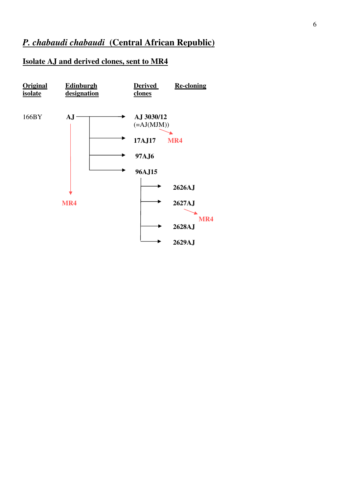### Isolate AJ and derived clones, sent to MR4

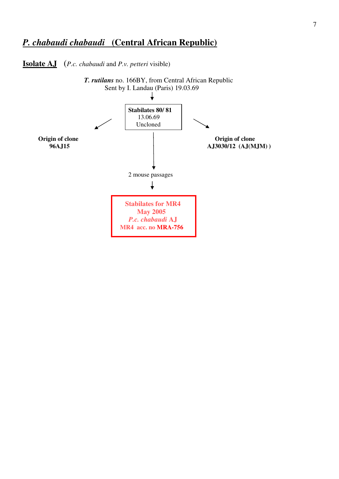**Isolate AJ** (*P.c. chabaudi* and *P.v. petteri* visible)

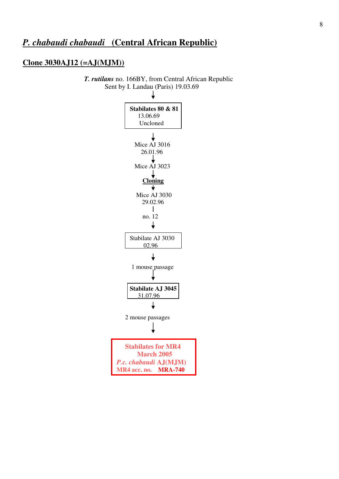#### Clone 3030AJ12 (=AJ(MJM))

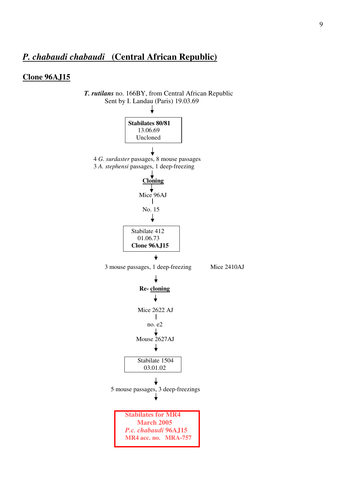#### Clone 96AJ15

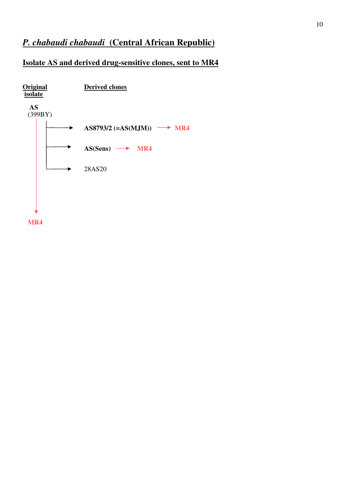## Isolate AS and derived drug-sensitive clones, sent to MR4



MR4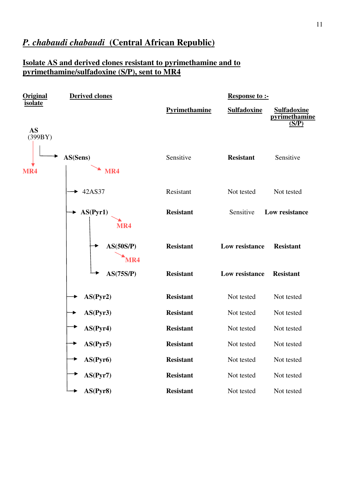### Isolate AS and derived clones resistant to pyrimethamine and to pyrimethamine/sulfadoxine (S/P), sent to MR4

| <b>Original</b>      | <b>Derived clones</b>        |                      | <b>Response to:-</b> |                                              |
|----------------------|------------------------------|----------------------|----------------------|----------------------------------------------|
| <b>isolate</b>       |                              | <b>Pyrimethamine</b> | <b>Sulfadoxine</b>   | <b>Sulfadoxine</b><br>pyrimethamine<br>(S/P) |
| <b>AS</b><br>(399BY) |                              |                      |                      |                                              |
| MR4                  | AS(Sens)<br>MR4              | Sensitive            | <b>Resistant</b>     | Sensitive                                    |
|                      | $\blacktriangleright$ 42AS37 | Resistant            | Not tested           | Not tested                                   |
|                      | AS(Pyr1)<br>MR4              | <b>Resistant</b>     | Sensitive            | Low resistance                               |
|                      | AS(50S/P)<br>MR4             | <b>Resistant</b>     | Low resistance       | <b>Resistant</b>                             |
|                      | AS(75S/P)                    | <b>Resistant</b>     | Low resistance       | <b>Resistant</b>                             |
|                      | AS(Pyr2)                     | <b>Resistant</b>     | Not tested           | Not tested                                   |
|                      | AS(Pyr3)                     | <b>Resistant</b>     | Not tested           | Not tested                                   |
|                      | AS(Pyr4)                     | <b>Resistant</b>     | Not tested           | Not tested                                   |
|                      | AS(Pyr5)                     | <b>Resistant</b>     | Not tested           | Not tested                                   |
|                      | AS(Pyr6)                     | <b>Resistant</b>     | Not tested           | Not tested                                   |
|                      | AS(Pyr7)                     | <b>Resistant</b>     | Not tested           | Not tested                                   |
|                      | AS(Pyr8)                     | <b>Resistant</b>     | Not tested           | Not tested                                   |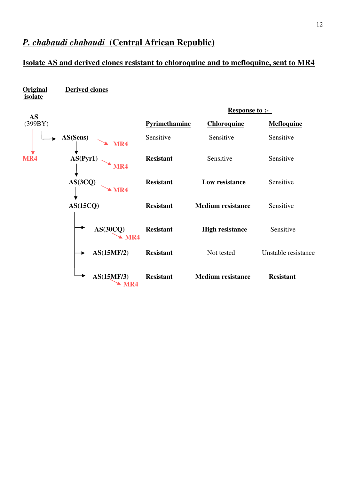### Isolate AS and derived clones resistant to chloroquine and to mefloquine, sent to MR4

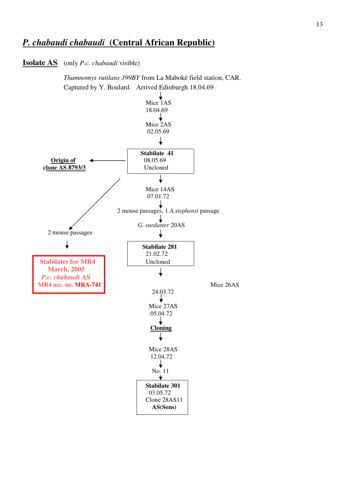**Isolate AS** (only *P.c. chabaudi* visible)

 Thamnomys rutilans 399BY from La Maboké field station, CAR. Captured by Y. Boulard. Arrived Edinburgh 18.04.69

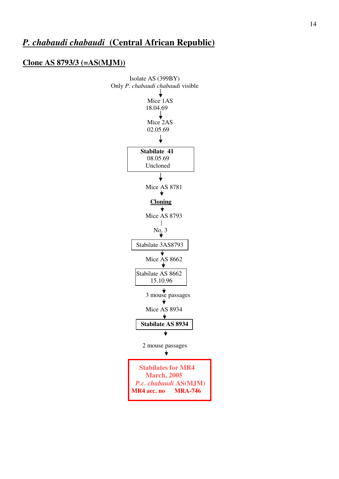#### Clone AS 8793/3 (=AS(MJM))

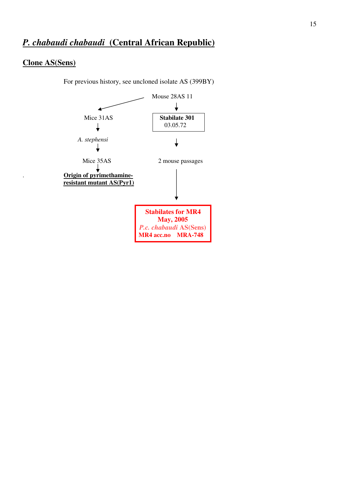#### Clone AS(Sens)

For previous history, see uncloned isolate AS (399BY)

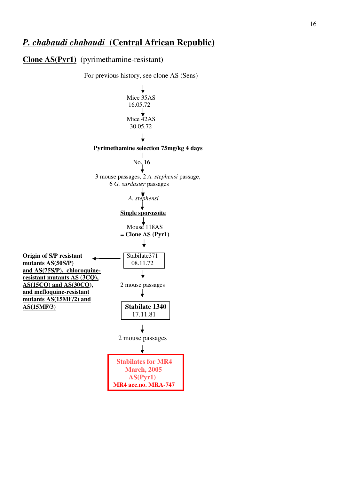#### Clone AS(Pyr1) (pyrimethamine-resistant)

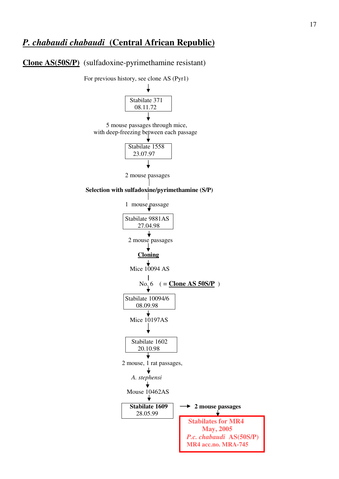#### Clone AS(50S/P) (sulfadoxine-pyrimethamine resistant)

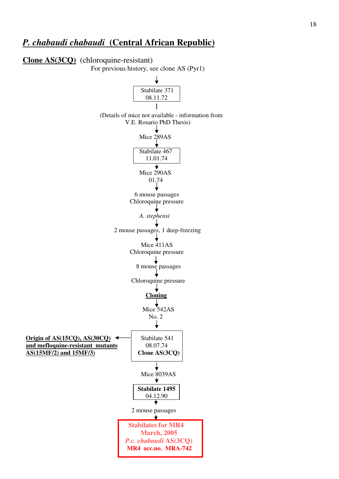#### Clone AS(3CQ) (chloroquine-resistant)

For previous history, see clone AS (Pyr1)

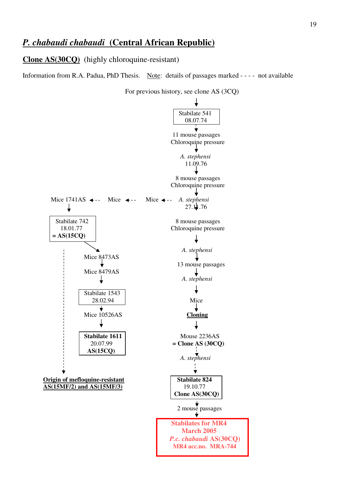Clone AS(30CQ) (highly chloroquine-resistant)

Information from R.A. Padua, PhD Thesis. Note: details of passages marked - - - - not available



For previous history, see clone AS (3CQ)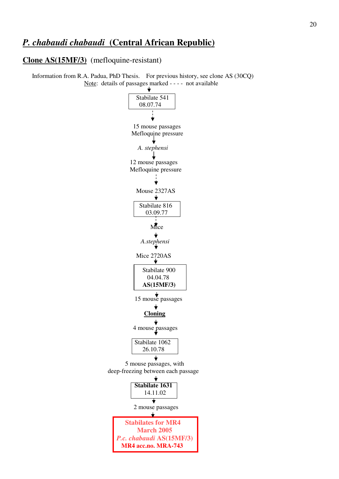#### Clone AS(15MF/3) (mefloquine-resistant)

 Information from R.A. Padua, PhD Thesis. For previous history, see clone AS (30CQ) Note: details of passages marked - - - - not available

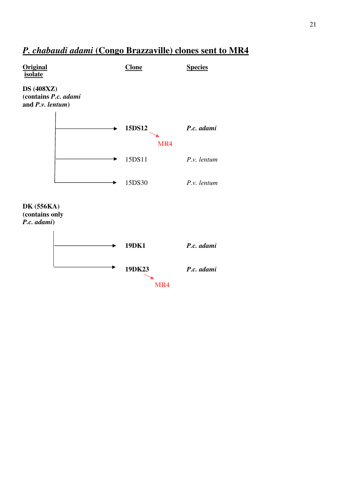# P. chabaudi adami (Congo Brazzaville) clones sent to MR4

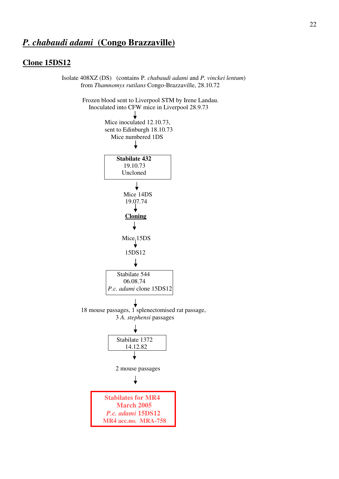## P. chabaudi adami (Congo Brazzaville)

#### Clone 15DS12

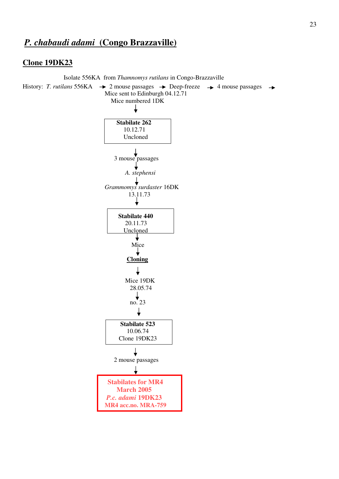## P. chabaudi adami (Congo Brazzaville)

#### Clone 19DK23

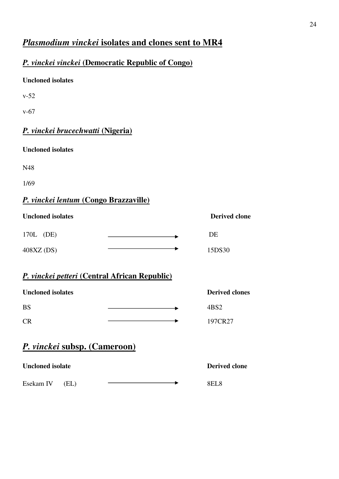# Plasmodium vinckei isolates and clones sent to MR4

## P. vinckei vinckei (Democratic Republic of Congo)

### Uncloned isolates

v-52

v-67

## P. vinckei brucechwatti (Nigeria)

Uncloned isolates

N48

1/69

## P. vinckei lentum (Congo Brazzaville)

| <b>Uncloned isolates</b> | <b>Derived clone</b> |
|--------------------------|----------------------|
| 170L (DE)                | DE                   |
| 408XZ(DS)                | 15DS30               |

### P. vinckei petteri (Central African Republic)

| <b>Uncloned isolates</b> | <b>Derived clones</b> |
|--------------------------|-----------------------|
| <b>BS</b>                | 4BS2                  |
| $\overline{CR}$          | 197CR27               |

# P. vinckei subsp. (Cameroon)

| <b>Uncloned isolate</b> |      |  | <b>Derived clone</b> |
|-------------------------|------|--|----------------------|
| Esekam IV               | (EL) |  | 8EL 8                |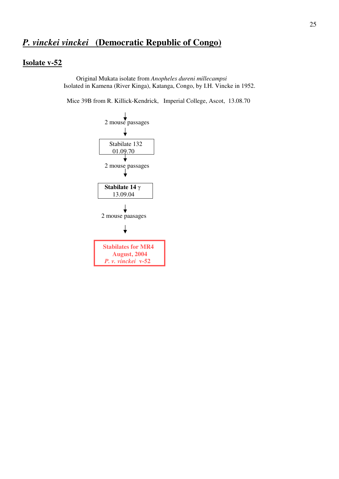# P. vinckei vinckei (Democratic Republic of Congo)

#### Isolate v-52

 Original Mukata isolate from Anopheles dureni millecampsi Isolated in Kamena (River Kinga), Katanga, Congo, by I.H. Vincke in 1952.

Mice 39B from R. Killick-Kendrick, Imperial College, Ascot, 13.08.70

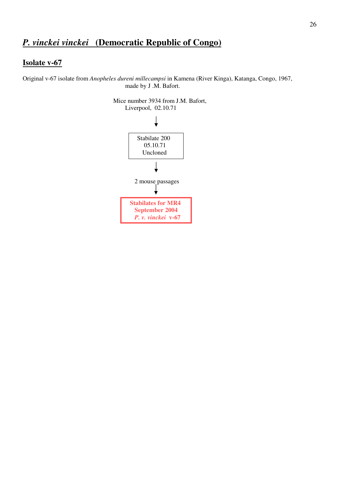# P. vinckei vinckei (Democratic Republic of Congo)

### Isolate v-67

Original v-67 isolate from Anopheles dureni millecampsi in Kamena (River Kinga), Katanga, Congo, 1967, made by J .M. Bafort.

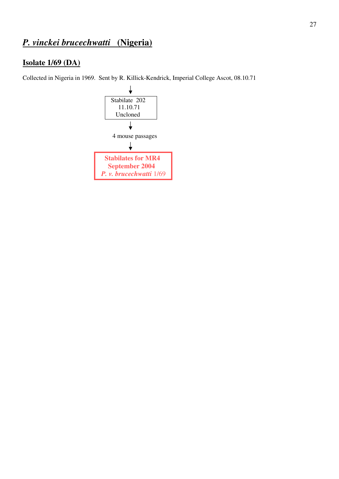# P. vinckei brucechwatti (Nigeria)

### Isolate 1/69 (DA)

Collected in Nigeria in 1969. Sent by R. Killick-Kendrick, Imperial College Ascot, 08.10.71

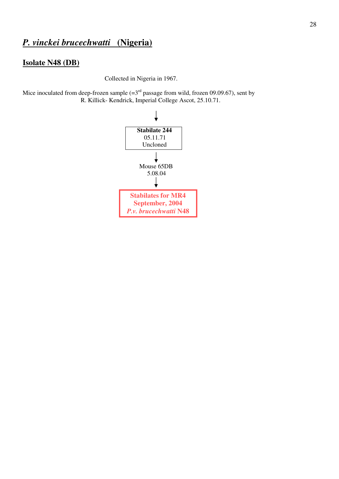# P. vinckei brucechwatti (Nigeria)

#### Isolate N48 (DB)

Collected in Nigeria in 1967.

Mice inoculated from deep-frozen sample  $(=3<sup>rd</sup>$  passage from wild, frozen 09.09.67), sent by R. Killick- Kendrick, Imperial College Ascot, 25.10.71.

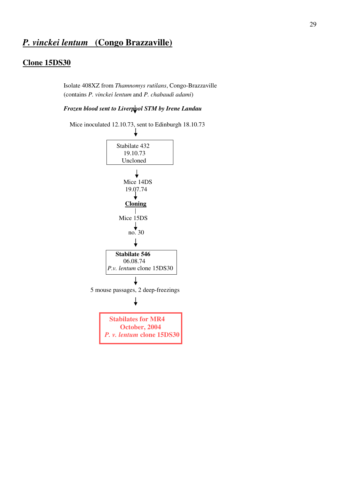#### Clone 15DS30

 Isolate 408XZ from Thamnomys rutilans, Congo-Brazzaville (contains P. vinckei lentum and P. chabaudi adami)

#### Frozen blood sent to Liverpool STM by Irene Landau



Mice inoculated 12.10.73, sent to Edinburgh 18.10.73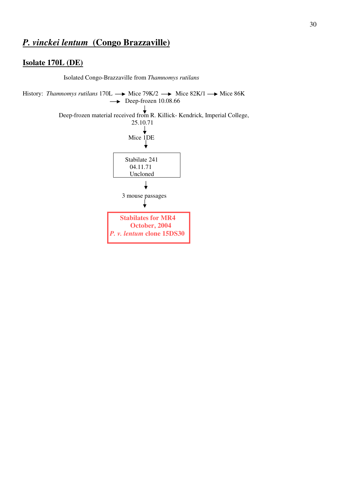### Isolate 170L (DE)

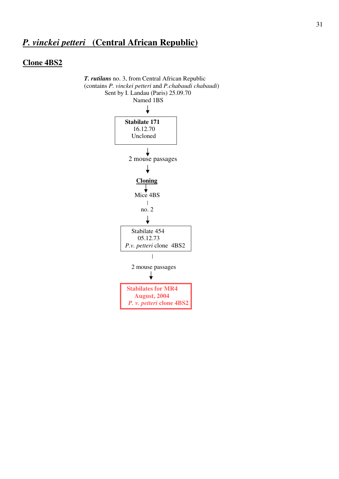# P. vinckei petteri (Central African Republic)

## Clone 4BS2

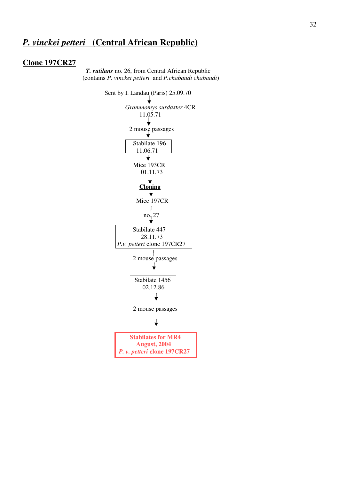## P. vinckei petteri (Central African Republic)

#### Clone 197CR27

 T. rutilans no. 26, from Central African Republic (contains P. vinckei petteri and P.chabaudi chabaudi)

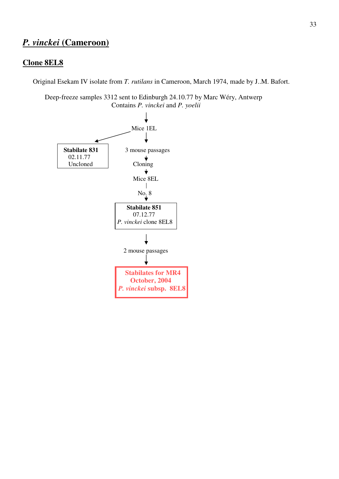# P. vinckei (Cameroon)

### Clone 8EL8

Original Esekam IV isolate from T. rutilans in Cameroon, March 1974, made by J..M. Bafort.

 Deep-freeze samples 3312 sent to Edinburgh 24.10.77 by Marc Wéry, Antwerp Contains P. vinckei and P. yoelii

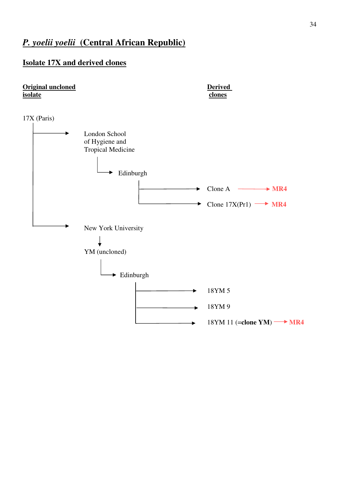### Isolate 17X and derived clones

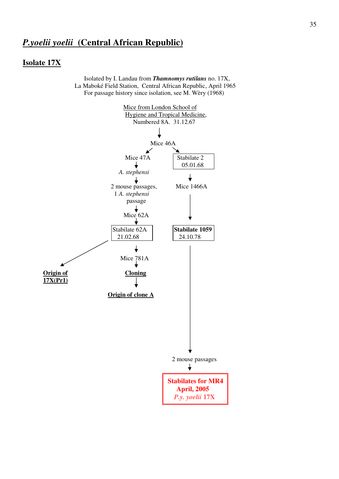#### Isolate 17X

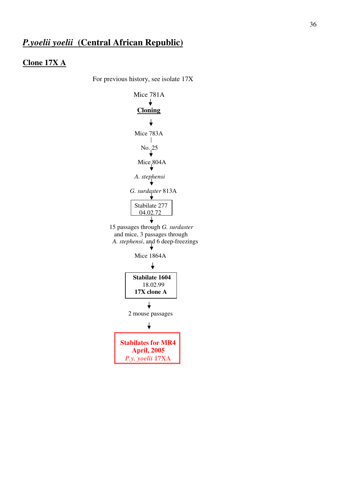#### Clone 17X A

For previous history, see isolate 17X

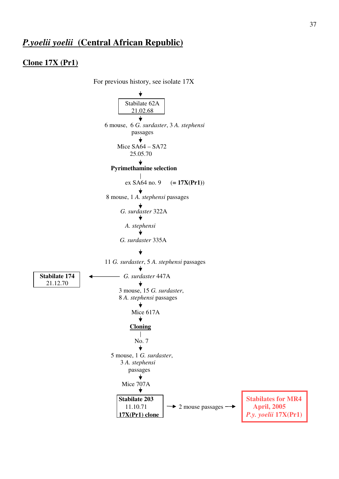#### Clone 17X (Pr1)

 For previous history, see isolate 17X Stabilate 62A 21.02.68  $\overline{\mathbf{t}}$  6 mouse, 6 G. surdaster, 3 A. stephensi passages Mice SA64 – SA72 25.05.70 Pyrimethamine selection ex SA64 no. 9  $(= 17X(Pr1))$  8 mouse, 1 A. stephensi passages G. surdaster 322A A. stephensi G. surdaster 335A 11 G. surdaster, 5 A. stephensi passages Stabilate 174  $\longleftarrow$  G. surdaster 447A 21.12.70 3 mouse, 15 G. surdaster, 8 A. stephensi passages ╈ Mice 617A ╈ Cloning  $\Box$  No. 7  $\bigstar$  5 mouse, 1 G. surdaster, 3 A. stephensi passages  $\bigstar$ Mice  $707A$ Stabilate 203 Stabilates for MR4 11.10.71  $\rightarrow$  2 mouse passages  $\rightarrow$  April, 2005 17X(Pr1) clone P.y. yoelii 17X(Pr1)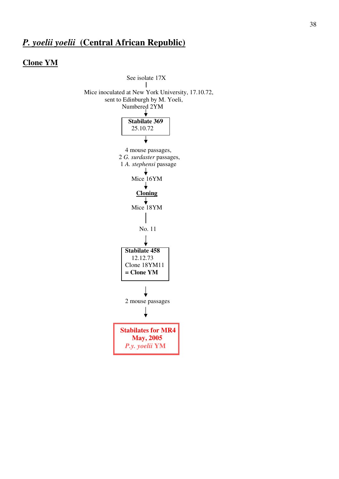#### Clone YM

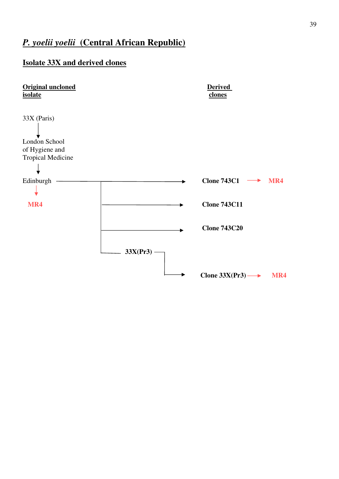### Isolate 33X and derived clones

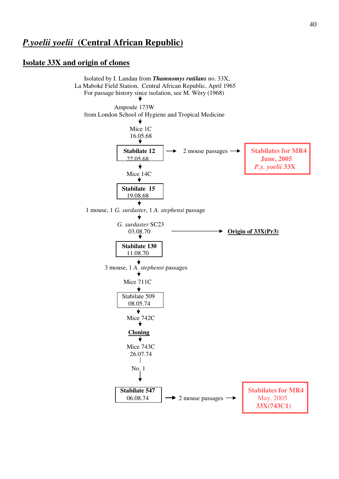#### Isolate 33X and origin of clones